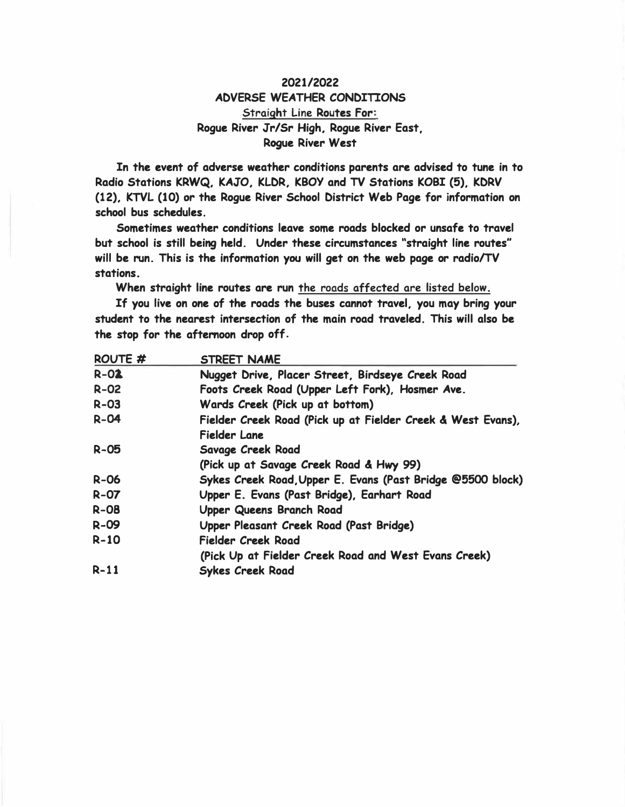# **2021/2022 ADVERSE WEATHER CONDITIONS Straight Line Routes For: Rogue River Jr/Sr High. Rogue River East, Rogue River West**

**In the event of adverse weather conditions parents are advised to tune in to Radio Stations KRWQ. KAJO. KLDR. KBOY and TV Stations KOBI (5). KDRV (12). KTVL (10)** *or* **the Rogue River School District Web Page for information on school bus schedules.** 

**Sometimes weather conditions leave some roads blocked or unsafe to travel but school is still being held. Under these circumstances "straight line routes" will be run. This is the information you will get on the web page or radio/TV stations.**

**When straight line routes are run the roads affected are listed below.** 

**If you live on one of the roads the buses cannot travel. you may bring your student to the nearest intersection of the main road traveled. This will also be the stop for the afternoon drop off.** 

| ROUTE <sub>#</sub> | <b>STREET NAME</b>                                          |
|--------------------|-------------------------------------------------------------|
| $R-02$             | Nugget Drive, Placer Street, Birdseye Creek Road            |
| $R - 02$           | Foots Creek Road (Upper Left Fork), Hosmer Ave.             |
| $R-03$             | Wards Creek (Pick up at bottom)                             |
| $R - 04$           | Fielder Creek Road (Pick up at Fielder Creek & West Evans), |
|                    | <b>Fielder Lane</b>                                         |
| $R - 05$           | Savage Creek Road                                           |
|                    | (Pick up at Savage Creek Road & Hwy 99)                     |
| $R-06$             | Sykes Creek Road, Upper E. Evans (Past Bridge @5500 block)  |
| $R-07$             | Upper E. Evans (Past Bridge), Earhart Road                  |
| $R-08$             | Upper Queens Branch Road                                    |
| $R-09$             | Upper Pleasant Creek Road (Past Bridge)                     |
| $R-10$             | Fielder Creek Road                                          |
|                    | (Pick Up at Fielder Creek Road and West Evans Creek)        |
| $R-11$             | <b>Sykes Creek Road</b>                                     |
|                    |                                                             |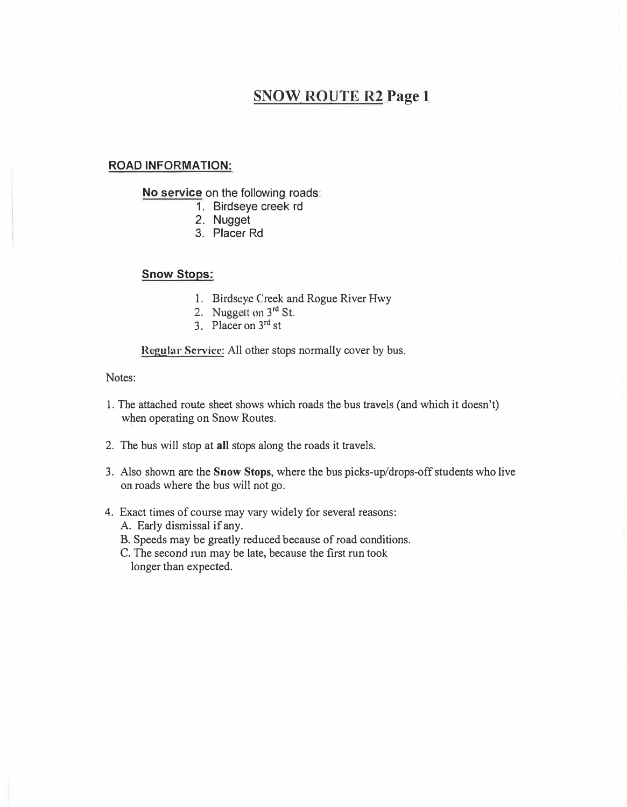# **SNOW\_ RO!]TE R2 Page 1**

## **ROAD INFORMATION:**

**No service** on the following roads:

- 1. Birdseye creek rd
- 2. Nugget
- 3. Placer Rd

**Snow Stops:** 

- 1. Birdseye Creek and Rogue River Hwy
- 2. Nuggett on 3rd St.
- 3. Placer on 3<sup>rd</sup> st

**Regular Sci-vice:** All other stops normally cover by bus.

- l. The attached route sheet shows which roads the bus travels (and which it doesn't) when operating on Snow Routes.
- 2. The bus will stop at **all** stops along the roads it travels.
- 3. Also shown are the **Snow Stops,** where the bus picks-up/drops-off students who live on roads where the bus will not go.
- 4. Exact times of course may vary widely for several reasons: A. Early dismissal if any.
	- B. Speeds may be greatly reduced because of road conditions.
	- C. The second run may be late, because the first run took longer than expected.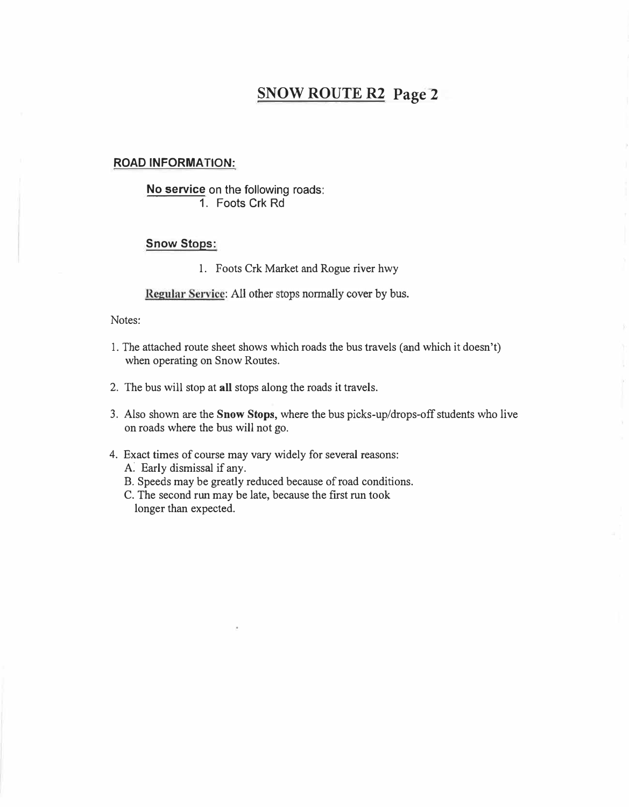# **SNOW ROUTE R2 Page 2**

### **ROAD INFORMATION:**

# **No service** on the following roads: **1.** Foots Crk Rd

### **Snow Stops:**

1. Foots Crk Market and Rogue river hwy

Regular Service: All other stops normally cover by bus.

- 1. The attached route sheet shows which roads the bus travels (and which it doesn't) when operating on Snow Routes.
- 2. The bus will stop at all stops along the roads it travels.
- 3. Also shown are the **Snow Stops,** where the bus picks-up/drops-off students who live on roads where the bus will not go.
- 4. Exact times of course may vary widely for several reasons:
	- A. Early dismissal if any.
	- B. Speeds may be greatly reduced because of road conditions.
	- C. The second run may be late, because the first run took longer than expected.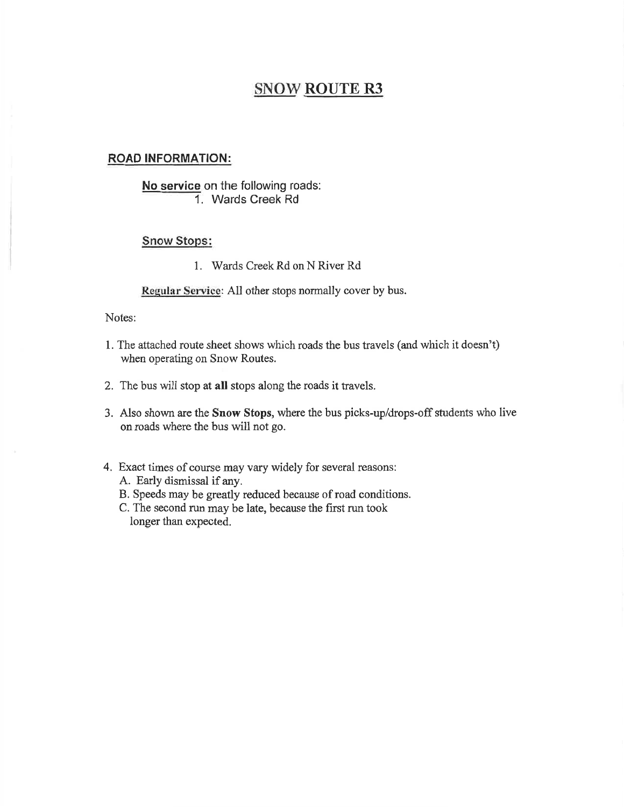# **ROAD INFORMATION:**

# No service on the following roads: 1. Wards Creek Rd

# **Snow Stops:**

1. Wards Creek Rd on N River Rd

Regular Service: All other stops normally cover by bus.

- 1. The attached route sheet shows which roads the bus travels (and which it doesn't) when operating on Snow Routes.
- 2. The bus will stop at all stops along the roads it travels.
- 3. Also shown are the Snow Stops, where the bus picks-up/drops-off students who live on roads where the bus will not go.
- 4. Exact times of course may vary widely for several reasons: A. Early dismissal if any.
	- B. Speeds may be greatly reduced because of road conditions.
	- C. The second run may be late, because the first run took longer than expected.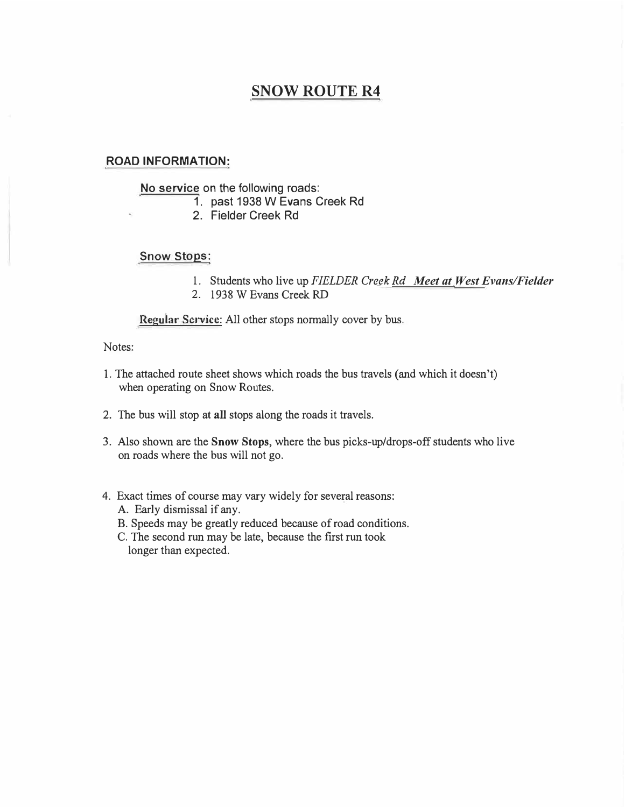## **ROAD INFORMATION:**

### No service on the following roads:

- 1. past 1938 W Evans Creek Rd
- 2. Fielder Creek Rd

# Snow Stops:

- 1. Students who live up *FIELDER Cregk Rd Meet at West Evans/Fielder*
- 2. 1938 W Evans Creek RD

**Regular Service:** All other stops normally cover by bus.

### Notes:

- 1. The attached route sheet shows which roads the bus travels (and which it doesn't) when operating on Snow Routes.
- 2. The bus will stop at **all** stops along the roads it travels.
- 3. Also shown are the **Snow Stops,** where the bus picks-up/drops-off students who live on roads where the bus will not go.

### 4. Exact times of course may vary widely for several reasons:

- A. Early dismissal if any.
- B. Speeds may be greatly reduced because of road conditions.
- C. The second run may be late, because the first run took longer than expected.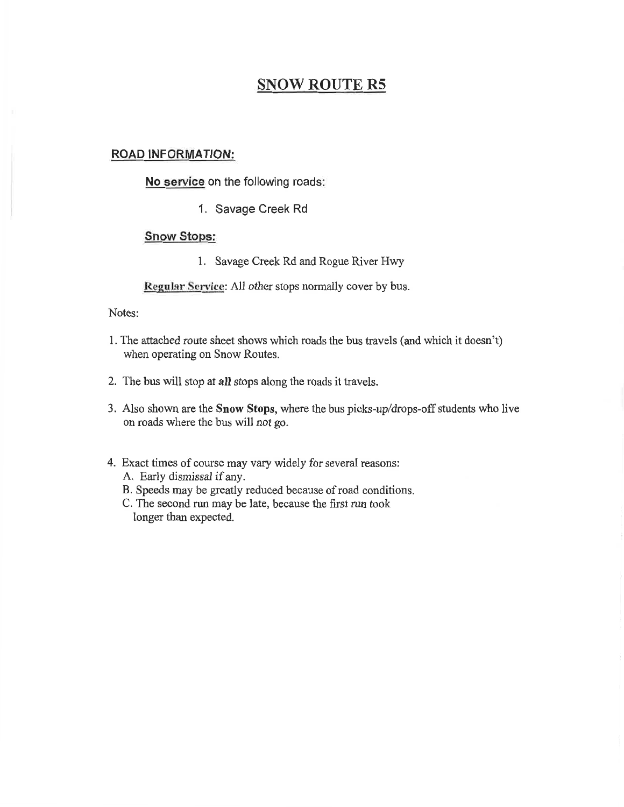### **ROAD INFORMATION:**

No service on the following roads:

1. Savage Creek Rd

### **Snow Stops:**

1. Savage Creek Rd and Rogue River Hwy

Regular Service: All other stops normally cover by bus.

- 1. The attached route sheet shows which roads the bus travels (and which it doesn't) when operating on Snow Routes.
- 2. The bus will stop at all stops along the roads it travels.
- 3. Also shown are the Snow Stops, where the bus picks-up/drops-off students who live on roads where the bus will not go.
- 4. Exact times of course may vary widely for several reasons:
	- A. Early dismissal if any.
	- B. Speeds may be greatly reduced because of road conditions.
	- C. The second run may be late, because the first run took longer than expected.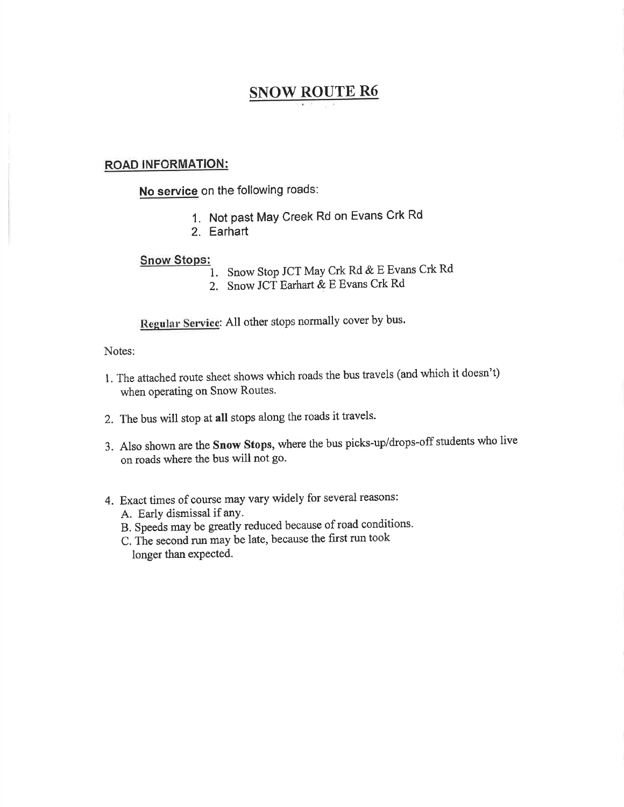## **ROAD INFORMATION:**

No service on the following roads:

- 1. Not past May Creek Rd on Evans Crk Rd
- 2. Earhart

### **Snow Stops:**

- 1. Snow Stop JCT May Crk Rd & E Evans Crk Rd
- 2. Snow JCT Earhart & E Evans Crk Rd

Regular Service: All other stops normally cover by bus.

- 1. The attached route sheet shows which roads the bus travels (and which it doesn't) when operating on Snow Routes.
- 2. The bus will stop at all stops along the roads it travels.
- 3. Also shown are the Snow Stops, where the bus picks-up/drops-off students who live on roads where the bus will not go.
- 4. Exact times of course may vary widely for several reasons:
	- A. Early dismissal if any.
	- B. Speeds may be greatly reduced because of road conditions.
	- C. The second run may be late, because the first run took longer than expected.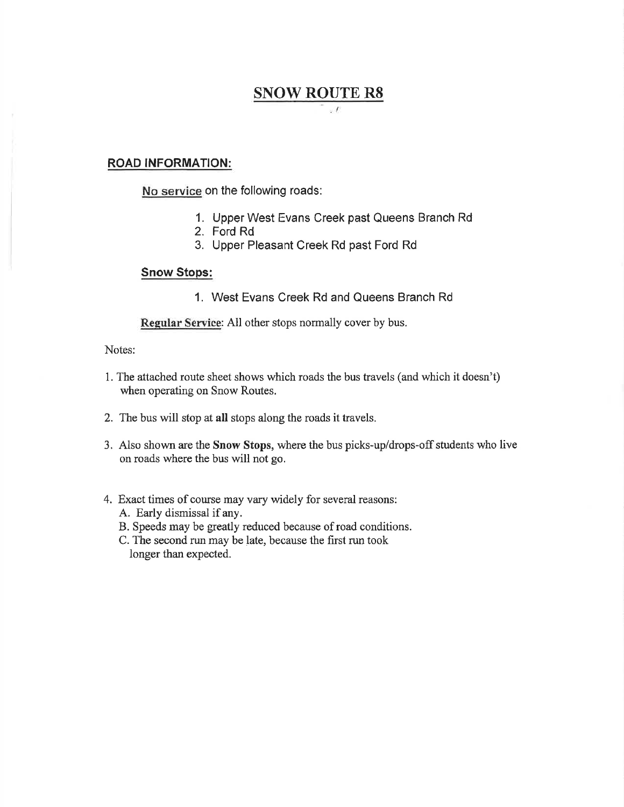### $\cdot t$

## **ROAD INFORMATION:**

No service on the following roads:

- 1. Upper West Evans Creek past Queens Branch Rd
- 2. Ford Rd
- 3. Upper Pleasant Creek Rd past Ford Rd

### **Snow Stops:**

1. West Evans Creek Rd and Queens Branch Rd

Regular Service: All other stops normally cover by bus.

- 1. The attached route sheet shows which roads the bus travels (and which it doesn't) when operating on Snow Routes.
- 2. The bus will stop at all stops along the roads it travels.
- 3. Also shown are the Snow Stops, where the bus picks-up/drops-off students who live on roads where the bus will not go.
- 4. Exact times of course may vary widely for several reasons:
	- A. Early dismissal if any.
	- B. Speeds may be greatly reduced because of road conditions.
	- C. The second run may be late, because the first run took longer than expected.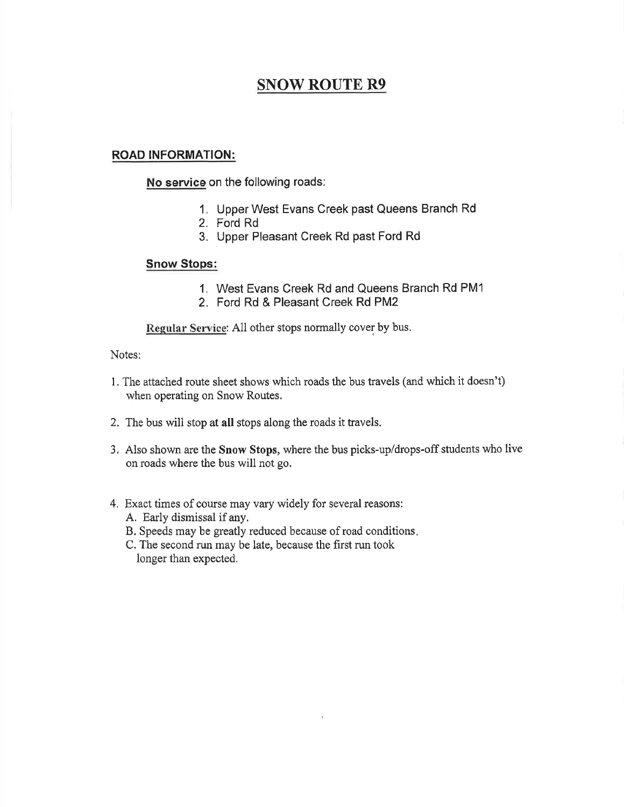# **ROAD INFORMATION:**

No service on the following roads:

- 1. Upper West Evans Creek past Queens Branch Rd
- 2. Ford Rd
- 3. Upper Pleasant Creek Rd past Ford Rd

## **Snow Stops:**

- 1. West Evans Creek Rd and Queens Branch Rd PM1
- 2. Ford Rd & Pleasant Creek Rd PM2

Regular Service: All other stops normally cover by bus.

- 1. The attached route sheet shows which roads the bus travels (and which it doesn't) when operating on Snow Routes.
- 2. The bus will stop at all stops along the roads it travels.
- 3. Also shown are the Snow Stops, where the bus picks-up/drops-off students who live on roads where the bus will not go.
- 4. Exact times of course may vary widely for several reasons: A. Early dismissal if any.
	- B. Speeds may be greatly reduced because of road conditions.
	- C. The second run may be late, because the first run took longer than expected.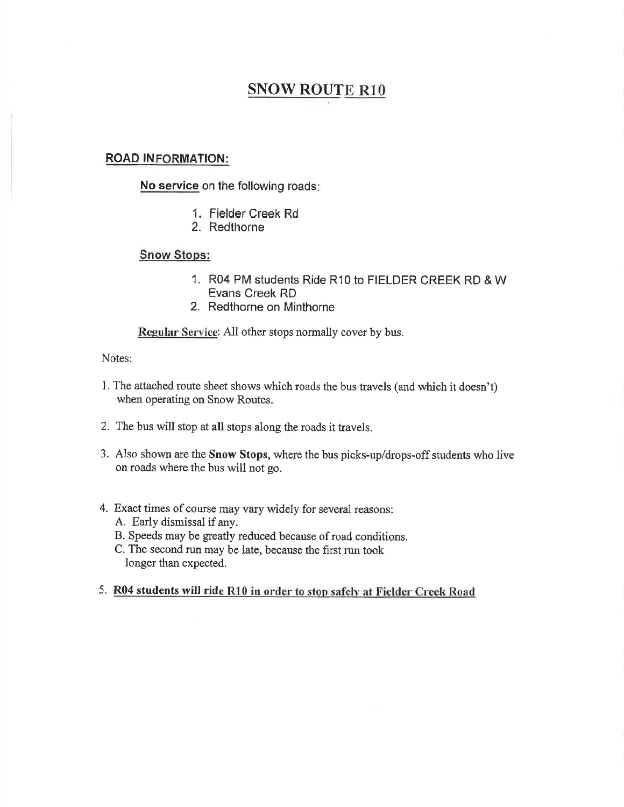## **ROAD INFORMATION:**

No service on the following roads:

- 1. Fielder Creek Rd
- 2. Redthorne

## **Snow Stops:**

- 1. R04 PM students Ride R10 to FIELDER CREEK RD & W Evans Creek RD
- 2. Redthorne on Minthorne

Regular Service: All other stops normally cover by bus.

- 1. The attached route sheet shows which roads the bus travels (and which it doesn't) when operating on Snow Routes.
- 2. The bus will stop at all stops along the roads it travels.
- 3. Also shown are the Snow Stops, where the bus picks-up/drops-off students who live on roads where the bus will not go.
- 4. Exact times of course may vary widely for several reasons:
	- A. Early dismissal if any.
	- B. Speeds may be greatly reduced because of road conditions.
	- C. The second run may be late, because the first run took longer than expected.
- 5. R04 students will ride R10 in order to stop safely at Fielder Creek Road